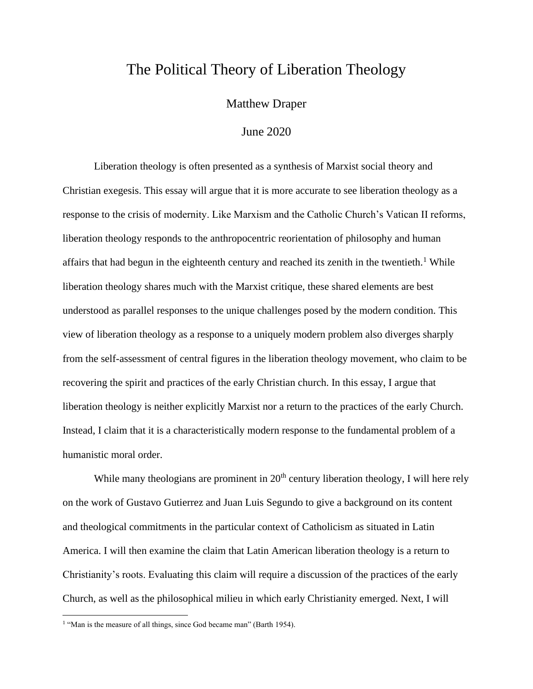# The Political Theory of Liberation Theology

Matthew Draper

## June 2020

Liberation theology is often presented as a synthesis of Marxist social theory and Christian exegesis. This essay will argue that it is more accurate to see liberation theology as a response to the crisis of modernity. Like Marxism and the Catholic Church's Vatican II reforms, liberation theology responds to the anthropocentric reorientation of philosophy and human affairs that had begun in the eighteenth century and reached its zenith in the twentieth.<sup>1</sup> While liberation theology shares much with the Marxist critique, these shared elements are best understood as parallel responses to the unique challenges posed by the modern condition. This view of liberation theology as a response to a uniquely modern problem also diverges sharply from the self-assessment of central figures in the liberation theology movement, who claim to be recovering the spirit and practices of the early Christian church. In this essay, I argue that liberation theology is neither explicitly Marxist nor a return to the practices of the early Church. Instead, I claim that it is a characteristically modern response to the fundamental problem of a humanistic moral order.

While many theologians are prominent in  $20<sup>th</sup>$  century liberation theology, I will here rely on the work of Gustavo Gutierrez and Juan Luis Segundo to give a background on its content and theological commitments in the particular context of Catholicism as situated in Latin America. I will then examine the claim that Latin American liberation theology is a return to Christianity's roots. Evaluating this claim will require a discussion of the practices of the early Church, as well as the philosophical milieu in which early Christianity emerged. Next, I will

<sup>&</sup>lt;sup>1</sup> "Man is the measure of all things, since God became man" (Barth 1954).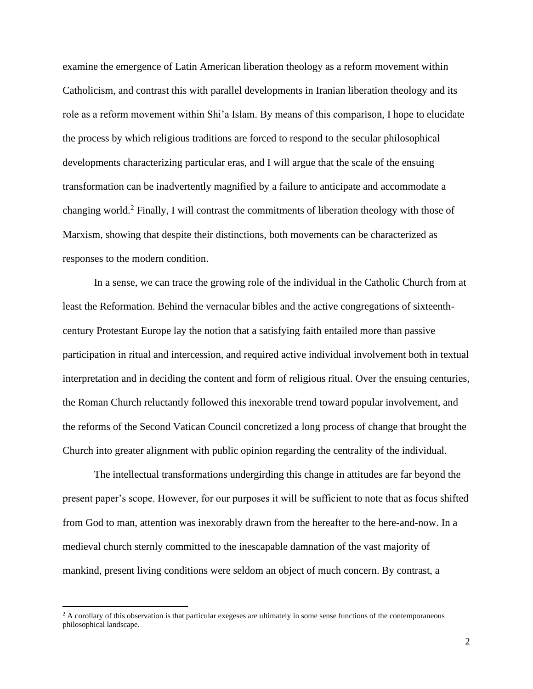examine the emergence of Latin American liberation theology as a reform movement within Catholicism, and contrast this with parallel developments in Iranian liberation theology and its role as a reform movement within Shi'a Islam. By means of this comparison, I hope to elucidate the process by which religious traditions are forced to respond to the secular philosophical developments characterizing particular eras, and I will argue that the scale of the ensuing transformation can be inadvertently magnified by a failure to anticipate and accommodate a changing world. <sup>2</sup> Finally, I will contrast the commitments of liberation theology with those of Marxism, showing that despite their distinctions, both movements can be characterized as responses to the modern condition.

In a sense, we can trace the growing role of the individual in the Catholic Church from at least the Reformation. Behind the vernacular bibles and the active congregations of sixteenthcentury Protestant Europe lay the notion that a satisfying faith entailed more than passive participation in ritual and intercession, and required active individual involvement both in textual interpretation and in deciding the content and form of religious ritual. Over the ensuing centuries, the Roman Church reluctantly followed this inexorable trend toward popular involvement, and the reforms of the Second Vatican Council concretized a long process of change that brought the Church into greater alignment with public opinion regarding the centrality of the individual.

The intellectual transformations undergirding this change in attitudes are far beyond the present paper's scope. However, for our purposes it will be sufficient to note that as focus shifted from God to man, attention was inexorably drawn from the hereafter to the here-and-now. In a medieval church sternly committed to the inescapable damnation of the vast majority of mankind, present living conditions were seldom an object of much concern. By contrast, a

<sup>&</sup>lt;sup>2</sup> A corollary of this observation is that particular exegeses are ultimately in some sense functions of the contemporaneous philosophical landscape.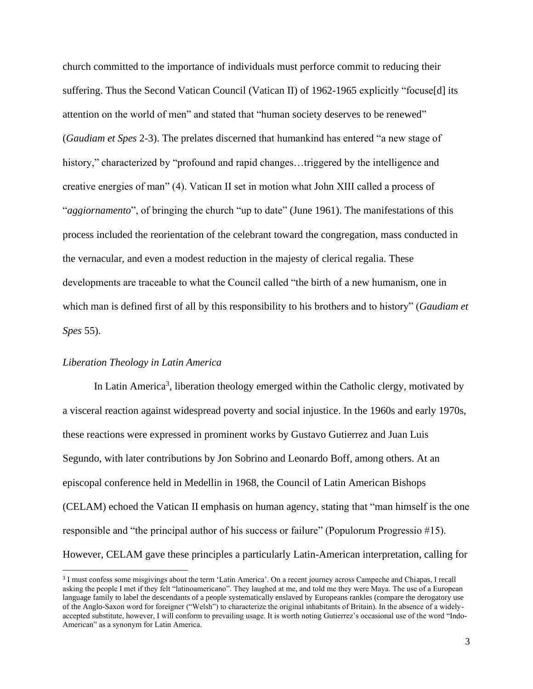church committed to the importance of individuals must perforce commit to reducing their suffering. Thus the Second Vatican Council (Vatican II) of 1962-1965 explicitly "focuse[d] its attention on the world of men" and stated that "human society deserves to be renewed" (*Gaudiam et Spes* 2-3). The prelates discerned that humankind has entered "a new stage of history," characterized by "profound and rapid changes...triggered by the intelligence and creative energies of man" (4). Vatican II set in motion what John XIII called a process of "*aggiornamento*", of bringing the church "up to date" (June 1961). The manifestations of this process included the reorientation of the celebrant toward the congregation, mass conducted in the vernacular, and even a modest reduction in the majesty of clerical regalia. These developments are traceable to what the Council called "the birth of a new humanism, one in which man is defined first of all by this responsibility to his brothers and to history" (*Gaudiam et Spes* 55).

#### *Liberation Theology in Latin America*

In Latin America<sup>3</sup>, liberation theology emerged within the Catholic clergy, motivated by a visceral reaction against widespread poverty and social injustice. In the 1960s and early 1970s, these reactions were expressed in prominent works by Gustavo Gutierrez and Juan Luis Segundo, with later contributions by Jon Sobrino and Leonardo Boff, among others. At an episcopal conference held in Medellin in 1968, the Council of Latin American Bishops (CELAM) echoed the Vatican II emphasis on human agency, stating that "man himself is the one responsible and "the principal author of his success or failure" (Populorum Progressio #15). However, CELAM gave these principles a particularly Latin-American interpretation, calling for

<sup>&</sup>lt;sup>3</sup> I must confess some misgivings about the term 'Latin America'. On a recent journey across Campeche and Chiapas, I recall asking the people I met if they felt "latinoamericano". They laughed at me, and told me they were Maya. The use of a European language family to label the descendants of a people systematically enslaved by Europeans rankles (compare the derogatory use of the Anglo-Saxon word for foreigner ("Welsh") to characterize the original inhabitants of Britain). In the absence of a widelyaccepted substitute, however, I will conform to prevailing usage. It is worth noting Gutierrez's occasional use of the word "Indo-American" as a synonym for Latin America.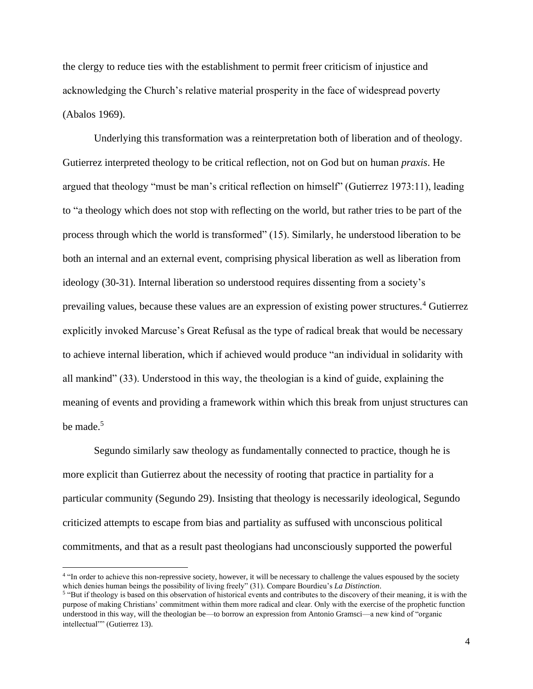the clergy to reduce ties with the establishment to permit freer criticism of injustice and acknowledging the Church's relative material prosperity in the face of widespread poverty (Abalos 1969).

Underlying this transformation was a reinterpretation both of liberation and of theology. Gutierrez interpreted theology to be critical reflection, not on God but on human *praxis*. He argued that theology "must be man's critical reflection on himself" (Gutierrez 1973:11), leading to "a theology which does not stop with reflecting on the world, but rather tries to be part of the process through which the world is transformed" (15). Similarly, he understood liberation to be both an internal and an external event, comprising physical liberation as well as liberation from ideology (30-31). Internal liberation so understood requires dissenting from a society's prevailing values, because these values are an expression of existing power structures.<sup>4</sup> Gutierrez explicitly invoked Marcuse's Great Refusal as the type of radical break that would be necessary to achieve internal liberation, which if achieved would produce "an individual in solidarity with all mankind" (33). Understood in this way, the theologian is a kind of guide, explaining the meaning of events and providing a framework within which this break from unjust structures can be made. 5

Segundo similarly saw theology as fundamentally connected to practice, though he is more explicit than Gutierrez about the necessity of rooting that practice in partiality for a particular community (Segundo 29). Insisting that theology is necessarily ideological, Segundo criticized attempts to escape from bias and partiality as suffused with unconscious political commitments, and that as a result past theologians had unconsciously supported the powerful

<sup>4</sup> "In order to achieve this non-repressive society, however, it will be necessary to challenge the values espoused by the society which denies human beings the possibility of living freely" (31). Compare Bourdieu's *La Distinction*.

<sup>&</sup>lt;sup>5</sup> "But if theology is based on this observation of historical events and contributes to the discovery of their meaning, it is with the purpose of making Christians' commitment within them more radical and clear. Only with the exercise of the prophetic function understood in this way, will the theologian be—to borrow an expression from Antonio Gramsci—a new kind of "organic intellectual"" (Gutierrez 13).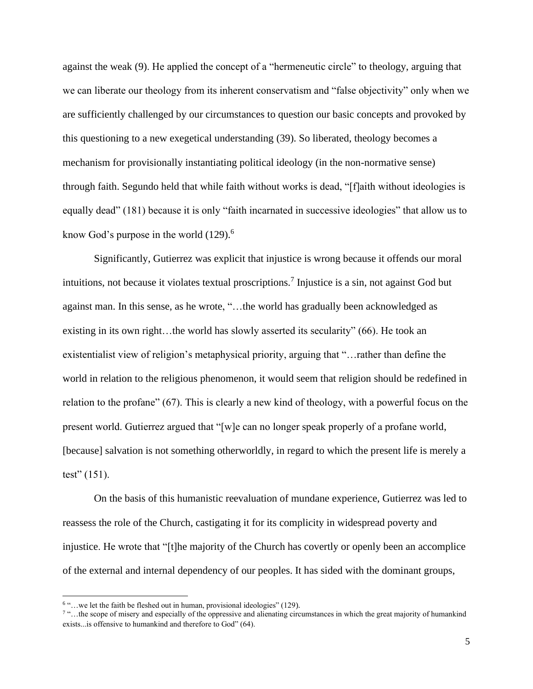against the weak (9). He applied the concept of a "hermeneutic circle" to theology, arguing that we can liberate our theology from its inherent conservatism and "false objectivity" only when we are sufficiently challenged by our circumstances to question our basic concepts and provoked by this questioning to a new exegetical understanding (39). So liberated, theology becomes a mechanism for provisionally instantiating political ideology (in the non-normative sense) through faith. Segundo held that while faith without works is dead, "[f]aith without ideologies is equally dead" (181) because it is only "faith incarnated in successive ideologies" that allow us to know God's purpose in the world  $(129)$ .<sup>6</sup>

Significantly, Gutierrez was explicit that injustice is wrong because it offends our moral intuitions, not because it violates textual proscriptions.<sup>7</sup> Injustice is a sin, not against God but against man. In this sense, as he wrote, "…the world has gradually been acknowledged as existing in its own right…the world has slowly asserted its secularity" (66). He took an existentialist view of religion's metaphysical priority, arguing that "…rather than define the world in relation to the religious phenomenon, it would seem that religion should be redefined in relation to the profane" (67). This is clearly a new kind of theology, with a powerful focus on the present world. Gutierrez argued that "[w]e can no longer speak properly of a profane world, [because] salvation is not something otherworldly, in regard to which the present life is merely a test"  $(151)$ .

On the basis of this humanistic reevaluation of mundane experience, Gutierrez was led to reassess the role of the Church, castigating it for its complicity in widespread poverty and injustice. He wrote that "[t]he majority of the Church has covertly or openly been an accomplice of the external and internal dependency of our peoples. It has sided with the dominant groups,

<sup>&</sup>lt;sup>6</sup> "...we let the faith be fleshed out in human, provisional ideologies" (129).

<sup>7</sup> "…the scope of misery and especially of the oppressive and alienating circumstances in which the great majority of humankind exists...is offensive to humankind and therefore to God" (64).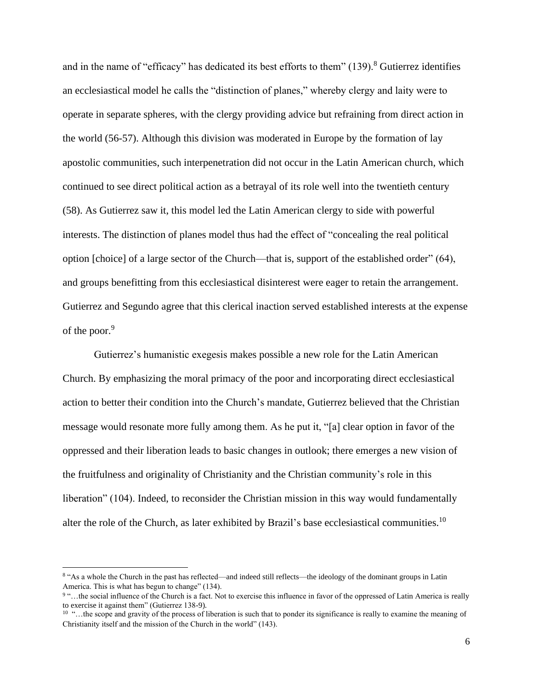and in the name of "efficacy" has dedicated its best efforts to them"  $(139)$ .<sup>8</sup> Gutierrez identifies an ecclesiastical model he calls the "distinction of planes," whereby clergy and laity were to operate in separate spheres, with the clergy providing advice but refraining from direct action in the world (56-57). Although this division was moderated in Europe by the formation of lay apostolic communities, such interpenetration did not occur in the Latin American church, which continued to see direct political action as a betrayal of its role well into the twentieth century (58). As Gutierrez saw it, this model led the Latin American clergy to side with powerful interests. The distinction of planes model thus had the effect of "concealing the real political option [choice] of a large sector of the Church—that is, support of the established order" (64), and groups benefitting from this ecclesiastical disinterest were eager to retain the arrangement. Gutierrez and Segundo agree that this clerical inaction served established interests at the expense of the poor.<sup>9</sup>

Gutierrez's humanistic exegesis makes possible a new role for the Latin American Church. By emphasizing the moral primacy of the poor and incorporating direct ecclesiastical action to better their condition into the Church's mandate, Gutierrez believed that the Christian message would resonate more fully among them. As he put it, "[a] clear option in favor of the oppressed and their liberation leads to basic changes in outlook; there emerges a new vision of the fruitfulness and originality of Christianity and the Christian community's role in this liberation" (104). Indeed, to reconsider the Christian mission in this way would fundamentally alter the role of the Church, as later exhibited by Brazil's base ecclesiastical communities.<sup>10</sup>

<sup>&</sup>lt;sup>8</sup> "As a whole the Church in the past has reflected—and indeed still reflects—the ideology of the dominant groups in Latin America. This is what has begun to change" (134).

<sup>&</sup>lt;sup>9</sup> "...the social influence of the Church is a fact. Not to exercise this influence in favor of the oppressed of Latin America is really to exercise it against them" (Gutierrez 138-9).

<sup>&</sup>lt;sup>10</sup> "...the scope and gravity of the process of liberation is such that to ponder its significance is really to examine the meaning of Christianity itself and the mission of the Church in the world" (143).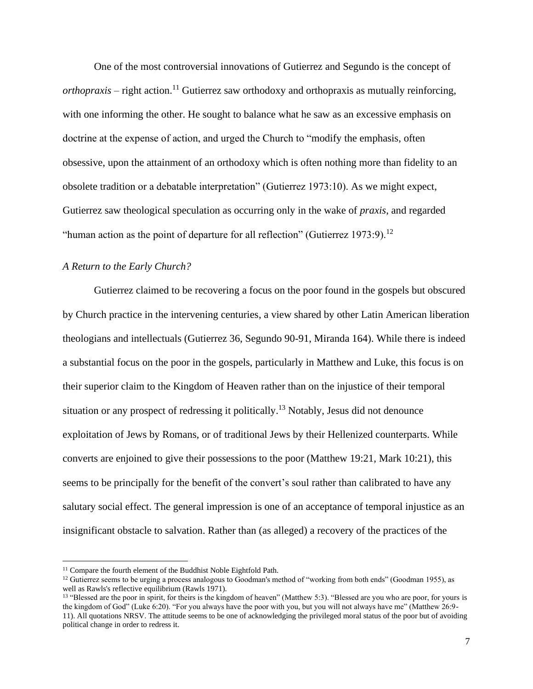One of the most controversial innovations of Gutierrez and Segundo is the concept of *orthopraxis* – right action. <sup>11</sup> Gutierrez saw orthodoxy and orthopraxis as mutually reinforcing, with one informing the other. He sought to balance what he saw as an excessive emphasis on doctrine at the expense of action, and urged the Church to "modify the emphasis, often obsessive, upon the attainment of an orthodoxy which is often nothing more than fidelity to an obsolete tradition or a debatable interpretation" (Gutierrez 1973:10). As we might expect, Gutierrez saw theological speculation as occurring only in the wake of *praxis*, and regarded "human action as the point of departure for all reflection" (Gutierrez 1973:9).<sup>12</sup>

## *A Return to the Early Church?*

Gutierrez claimed to be recovering a focus on the poor found in the gospels but obscured by Church practice in the intervening centuries, a view shared by other Latin American liberation theologians and intellectuals (Gutierrez 36, Segundo 90-91, Miranda 164). While there is indeed a substantial focus on the poor in the gospels, particularly in Matthew and Luke, this focus is on their superior claim to the Kingdom of Heaven rather than on the injustice of their temporal situation or any prospect of redressing it politically.<sup>13</sup> Notably, Jesus did not denounce exploitation of Jews by Romans, or of traditional Jews by their Hellenized counterparts. While converts are enjoined to give their possessions to the poor (Matthew 19:21, Mark 10:21), this seems to be principally for the benefit of the convert's soul rather than calibrated to have any salutary social effect. The general impression is one of an acceptance of temporal injustice as an insignificant obstacle to salvation. Rather than (as alleged) a recovery of the practices of the

<sup>&</sup>lt;sup>11</sup> Compare the fourth element of the Buddhist Noble Eightfold Path.

<sup>&</sup>lt;sup>12</sup> Gutierrez seems to be urging a process analogous to Goodman's method of "working from both ends" (Goodman 1955), as well as Rawls's reflective equilibrium (Rawls 1971).

<sup>&</sup>lt;sup>13</sup> "Blessed are the poor in spirit, for theirs is the kingdom of heaven" (Matthew 5:3). "Blessed are you who are poor, for yours is the kingdom of God" (Luke 6:20). "For you always have the poor with you, but you will not always have me" (Matthew 26:9- 11). All quotations NRSV. The attitude seems to be one of acknowledging the privileged moral status of the poor but of avoiding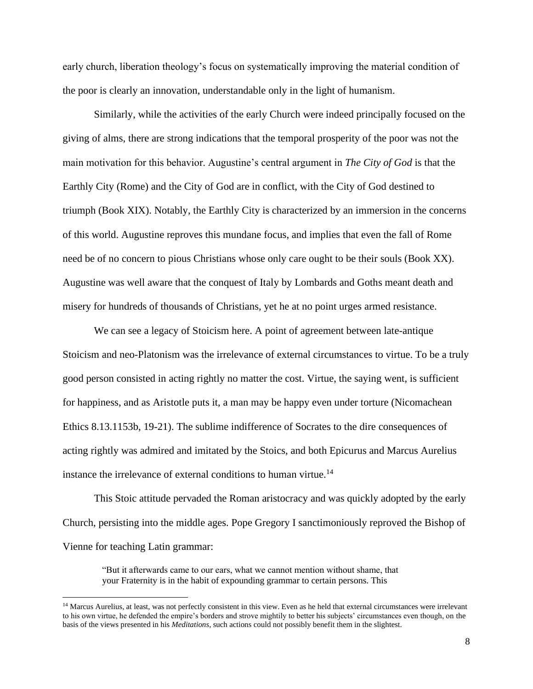early church, liberation theology's focus on systematically improving the material condition of the poor is clearly an innovation, understandable only in the light of humanism.

Similarly, while the activities of the early Church were indeed principally focused on the giving of alms, there are strong indications that the temporal prosperity of the poor was not the main motivation for this behavior. Augustine's central argument in *The City of God* is that the Earthly City (Rome) and the City of God are in conflict, with the City of God destined to triumph (Book XIX). Notably, the Earthly City is characterized by an immersion in the concerns of this world. Augustine reproves this mundane focus, and implies that even the fall of Rome need be of no concern to pious Christians whose only care ought to be their souls (Book XX). Augustine was well aware that the conquest of Italy by Lombards and Goths meant death and misery for hundreds of thousands of Christians, yet he at no point urges armed resistance.

We can see a legacy of Stoicism here. A point of agreement between late-antique Stoicism and neo-Platonism was the irrelevance of external circumstances to virtue. To be a truly good person consisted in acting rightly no matter the cost. Virtue, the saying went, is sufficient for happiness, and as Aristotle puts it, a man may be happy even under torture (Nicomachean Ethics 8.13.1153b, 19-21). The sublime indifference of Socrates to the dire consequences of acting rightly was admired and imitated by the Stoics, and both Epicurus and Marcus Aurelius instance the irrelevance of external conditions to human virtue.<sup>14</sup>

This Stoic attitude pervaded the Roman aristocracy and was quickly adopted by the early Church, persisting into the middle ages. Pope Gregory I sanctimoniously reproved the Bishop of Vienne for teaching Latin grammar:

"But it afterwards came to our ears, what we cannot mention without shame, that your Fraternity is in the habit of expounding grammar to certain persons. This

<sup>&</sup>lt;sup>14</sup> Marcus Aurelius, at least, was not perfectly consistent in this view. Even as he held that external circumstances were irrelevant to his own virtue, he defended the empire's borders and strove mightily to better his subjects' circumstances even though, on the basis of the views presented in his *Meditations*, such actions could not possibly benefit them in the slightest.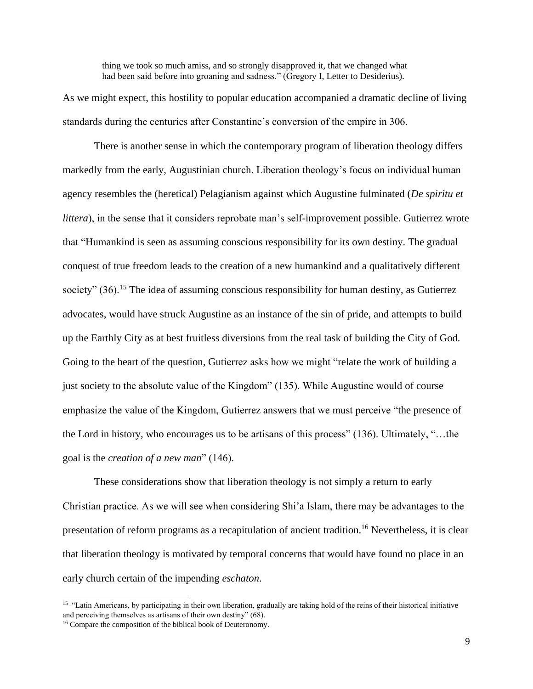thing we took so much amiss, and so strongly disapproved it, that we changed what had been said before into groaning and sadness." (Gregory I, Letter to Desiderius).

As we might expect, this hostility to popular education accompanied a dramatic decline of living standards during the centuries after Constantine's conversion of the empire in 306.

There is another sense in which the contemporary program of liberation theology differs markedly from the early, Augustinian church. Liberation theology's focus on individual human agency resembles the (heretical) Pelagianism against which Augustine fulminated (*De spiritu et littera*), in the sense that it considers reprobate man's self-improvement possible. Gutierrez wrote that "Humankind is seen as assuming conscious responsibility for its own destiny. The gradual conquest of true freedom leads to the creation of a new humankind and a qualitatively different society"  $(36)$ .<sup>15</sup> The idea of assuming conscious responsibility for human destiny, as Gutierrez advocates, would have struck Augustine as an instance of the sin of pride, and attempts to build up the Earthly City as at best fruitless diversions from the real task of building the City of God. Going to the heart of the question, Gutierrez asks how we might "relate the work of building a just society to the absolute value of the Kingdom" (135). While Augustine would of course emphasize the value of the Kingdom, Gutierrez answers that we must perceive "the presence of the Lord in history, who encourages us to be artisans of this process" (136). Ultimately, "…the goal is the *creation of a new man*" (146).

These considerations show that liberation theology is not simply a return to early Christian practice. As we will see when considering Shi'a Islam, there may be advantages to the presentation of reform programs as a recapitulation of ancient tradition.<sup>16</sup> Nevertheless, it is clear that liberation theology is motivated by temporal concerns that would have found no place in an early church certain of the impending *eschaton*.

<sup>&</sup>lt;sup>15</sup> "Latin Americans, by participating in their own liberation, gradually are taking hold of the reins of their historical initiative and perceiving themselves as artisans of their own destiny" (68).

<sup>&</sup>lt;sup>16</sup> Compare the composition of the biblical book of Deuteronomy.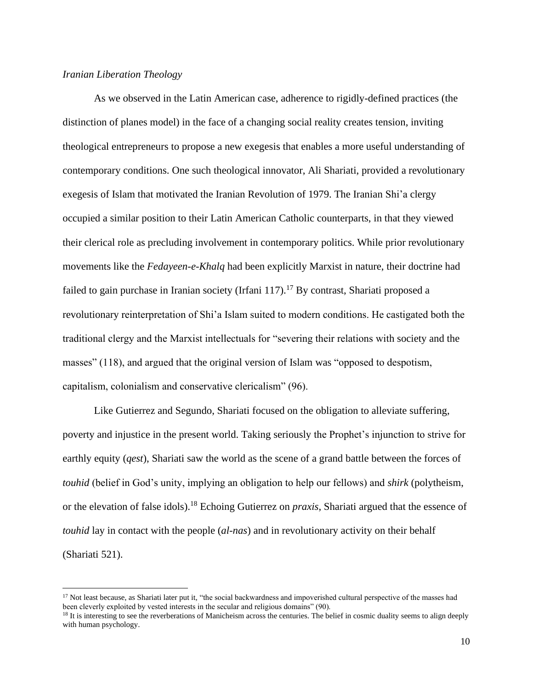# *Iranian Liberation Theology*

As we observed in the Latin American case, adherence to rigidly-defined practices (the distinction of planes model) in the face of a changing social reality creates tension, inviting theological entrepreneurs to propose a new exegesis that enables a more useful understanding of contemporary conditions. One such theological innovator, Ali Shariati, provided a revolutionary exegesis of Islam that motivated the Iranian Revolution of 1979. The Iranian Shi'a clergy occupied a similar position to their Latin American Catholic counterparts, in that they viewed their clerical role as precluding involvement in contemporary politics. While prior revolutionary movements like the *Fedayeen-e-Khalq* had been explicitly Marxist in nature, their doctrine had failed to gain purchase in Iranian society (Irfani 117).<sup>17</sup> By contrast, Shariati proposed a revolutionary reinterpretation of Shi'a Islam suited to modern conditions. He castigated both the traditional clergy and the Marxist intellectuals for "severing their relations with society and the masses" (118), and argued that the original version of Islam was "opposed to despotism, capitalism, colonialism and conservative clericalism" (96).

Like Gutierrez and Segundo, Shariati focused on the obligation to alleviate suffering, poverty and injustice in the present world. Taking seriously the Prophet's injunction to strive for earthly equity (*qest*), Shariati saw the world as the scene of a grand battle between the forces of *touhid* (belief in God's unity, implying an obligation to help our fellows) and *shirk* (polytheism, or the elevation of false idols).<sup>18</sup> Echoing Gutierrez on *praxis*, Shariati argued that the essence of *touhid* lay in contact with the people (*al-nas*) and in revolutionary activity on their behalf (Shariati 521).

<sup>&</sup>lt;sup>17</sup> Not least because, as Shariati later put it, "the social backwardness and impoverished cultural perspective of the masses had been cleverly exploited by vested interests in the secular and religious domains" (90).

<sup>&</sup>lt;sup>18</sup> It is interesting to see the reverberations of Manicheism across the centuries. The belief in cosmic duality seems to align deeply with human psychology.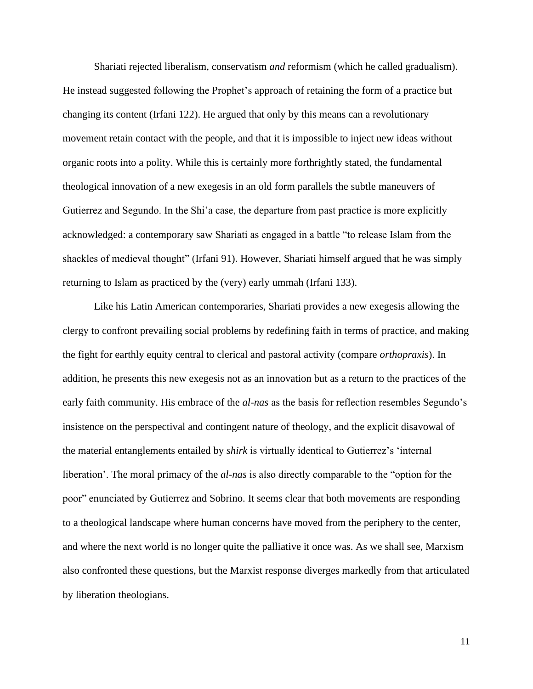Shariati rejected liberalism, conservatism *and* reformism (which he called gradualism). He instead suggested following the Prophet's approach of retaining the form of a practice but changing its content (Irfani 122). He argued that only by this means can a revolutionary movement retain contact with the people, and that it is impossible to inject new ideas without organic roots into a polity. While this is certainly more forthrightly stated, the fundamental theological innovation of a new exegesis in an old form parallels the subtle maneuvers of Gutierrez and Segundo. In the Shi'a case, the departure from past practice is more explicitly acknowledged: a contemporary saw Shariati as engaged in a battle "to release Islam from the shackles of medieval thought" (Irfani 91). However, Shariati himself argued that he was simply returning to Islam as practiced by the (very) early ummah (Irfani 133).

Like his Latin American contemporaries, Shariati provides a new exegesis allowing the clergy to confront prevailing social problems by redefining faith in terms of practice, and making the fight for earthly equity central to clerical and pastoral activity (compare *orthopraxis*). In addition, he presents this new exegesis not as an innovation but as a return to the practices of the early faith community. His embrace of the *al-nas* as the basis for reflection resembles Segundo's insistence on the perspectival and contingent nature of theology, and the explicit disavowal of the material entanglements entailed by *shirk* is virtually identical to Gutierrez's 'internal liberation'. The moral primacy of the *al-nas* is also directly comparable to the "option for the poor" enunciated by Gutierrez and Sobrino. It seems clear that both movements are responding to a theological landscape where human concerns have moved from the periphery to the center, and where the next world is no longer quite the palliative it once was. As we shall see, Marxism also confronted these questions, but the Marxist response diverges markedly from that articulated by liberation theologians.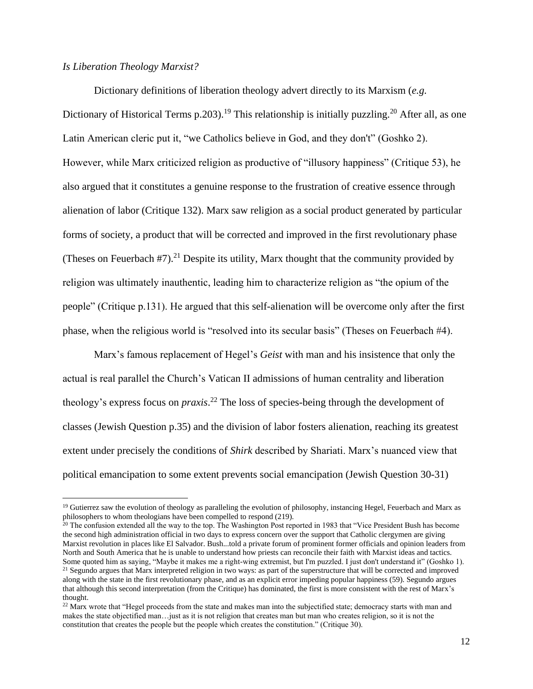## *Is Liberation Theology Marxist?*

Dictionary definitions of liberation theology advert directly to its Marxism (*e.g.* Dictionary of Historical Terms p.203).<sup>19</sup> This relationship is initially puzzling.<sup>20</sup> After all, as one Latin American cleric put it, "we Catholics believe in God, and they don't" (Goshko 2). However, while Marx criticized religion as productive of "illusory happiness" (Critique 53), he also argued that it constitutes a genuine response to the frustration of creative essence through alienation of labor (Critique 132). Marx saw religion as a social product generated by particular forms of society, a product that will be corrected and improved in the first revolutionary phase (Theses on Feuerbach  $#7$ ).<sup>21</sup> Despite its utility, Marx thought that the community provided by religion was ultimately inauthentic, leading him to characterize religion as "the opium of the people" (Critique p.131). He argued that this self-alienation will be overcome only after the first phase, when the religious world is "resolved into its secular basis" (Theses on Feuerbach #4).

Marx's famous replacement of Hegel's *Geist* with man and his insistence that only the actual is real parallel the Church's Vatican II admissions of human centrality and liberation theology's express focus on *praxis*. <sup>22</sup> The loss of species-being through the development of classes (Jewish Question p.35) and the division of labor fosters alienation, reaching its greatest extent under precisely the conditions of *Shirk* described by Shariati. Marx's nuanced view that political emancipation to some extent prevents social emancipation (Jewish Question 30-31)

 $19$  Gutierrez saw the evolution of theology as paralleling the evolution of philosophy, instancing Hegel, Feuerbach and Marx as philosophers to whom theologians have been compelled to respond (219).

 $20$  The confusion extended all the way to the top. The Washington Post reported in 1983 that "Vice President Bush has become the second high administration official in two days to express concern over the support that Catholic clergymen are giving Marxist revolution in places like El Salvador. Bush...told a private forum of prominent former officials and opinion leaders from North and South America that he is unable to understand how priests can reconcile their faith with Marxist ideas and tactics. Some quoted him as saying, "Maybe it makes me a right-wing extremist, but I'm puzzled. I just don't understand it" (Goshko 1). <sup>21</sup> Segundo argues that Marx interpreted religion in two ways: as part of the superstructure that will be corrected and improved along with the state in the first revolutionary phase, and as an explicit error impeding popular happiness (59). Segundo argues that although this second interpretation (from the Critique) has dominated, the first is more consistent with the rest of Marx's thought.

 $22$  Marx wrote that "Hegel proceeds from the state and makes man into the subjectified state; democracy starts with man and makes the state objectified man…just as it is not religion that creates man but man who creates religion, so it is not the constitution that creates the people but the people which creates the constitution." (Critique 30).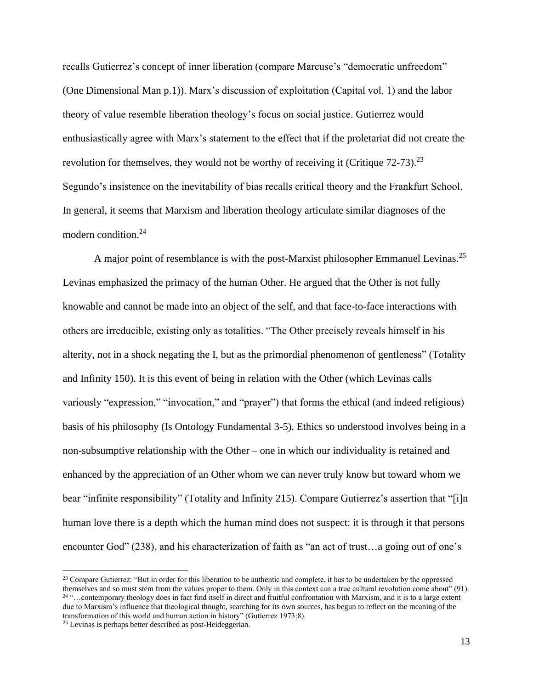recalls Gutierrez's concept of inner liberation (compare Marcuse's "democratic unfreedom" (One Dimensional Man p.1)). Marx's discussion of exploitation (Capital vol. 1) and the labor theory of value resemble liberation theology's focus on social justice. Gutierrez would enthusiastically agree with Marx's statement to the effect that if the proletariat did not create the revolution for themselves, they would not be worthy of receiving it (Critique  $72-73$ ).<sup>23</sup> Segundo's insistence on the inevitability of bias recalls critical theory and the Frankfurt School. In general, it seems that Marxism and liberation theology articulate similar diagnoses of the modern condition.<sup>24</sup>

A major point of resemblance is with the post-Marxist philosopher Emmanuel Levinas.<sup>25</sup> Levinas emphasized the primacy of the human Other. He argued that the Other is not fully knowable and cannot be made into an object of the self, and that face-to-face interactions with others are irreducible, existing only as totalities. "The Other precisely reveals himself in his alterity, not in a shock negating the I, but as the primordial phenomenon of gentleness" (Totality and Infinity 150). It is this event of being in relation with the Other (which Levinas calls variously "expression," "invocation," and "prayer") that forms the ethical (and indeed religious) basis of his philosophy (Is Ontology Fundamental 3-5). Ethics so understood involves being in a non-subsumptive relationship with the Other – one in which our individuality is retained and enhanced by the appreciation of an Other whom we can never truly know but toward whom we bear "infinite responsibility" (Totality and Infinity 215). Compare Gutierrez's assertion that "[i]n human love there is a depth which the human mind does not suspect: it is through it that persons encounter God" (238), and his characterization of faith as "an act of trust…a going out of one's

<sup>&</sup>lt;sup>23</sup> Compare Gutierrez: "But in order for this liberation to be authentic and complete, it has to be undertaken by the oppressed themselves and so must stem from the values proper to them. Only in this context can a true cultural revolution come about" (91). <sup>24</sup> "…contemporary theology does in fact find itself in direct and fruitful confrontation with Marxism, and it is to a large extent due to Marxism's influence that theological thought, searching for its own sources, has begun to reflect on the meaning of the transformation of this world and human action in history" (Gutierrez 1973:8).

<sup>25</sup> Levinas is perhaps better described as post-Heideggerian.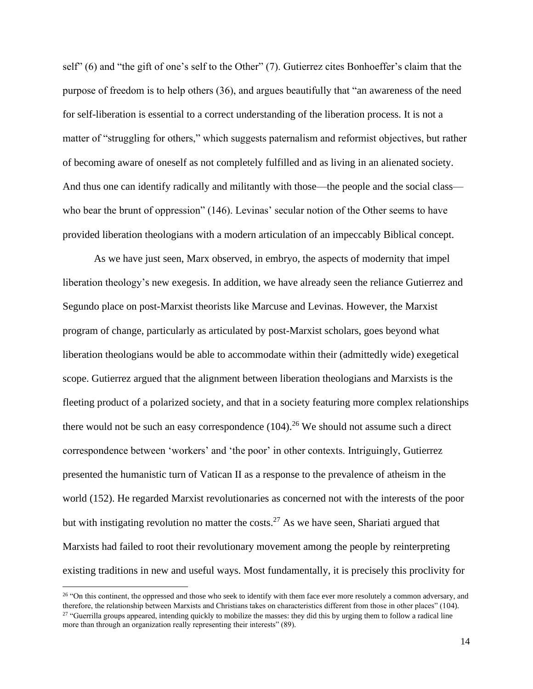self" (6) and "the gift of one's self to the Other" (7). Gutierrez cites Bonhoeffer's claim that the purpose of freedom is to help others (36), and argues beautifully that "an awareness of the need for self-liberation is essential to a correct understanding of the liberation process. It is not a matter of "struggling for others," which suggests paternalism and reformist objectives, but rather of becoming aware of oneself as not completely fulfilled and as living in an alienated society. And thus one can identify radically and militantly with those—the people and the social class who bear the brunt of oppression" (146). Levinas' secular notion of the Other seems to have provided liberation theologians with a modern articulation of an impeccably Biblical concept.

As we have just seen, Marx observed, in embryo, the aspects of modernity that impel liberation theology's new exegesis. In addition, we have already seen the reliance Gutierrez and Segundo place on post-Marxist theorists like Marcuse and Levinas. However, the Marxist program of change, particularly as articulated by post-Marxist scholars, goes beyond what liberation theologians would be able to accommodate within their (admittedly wide) exegetical scope. Gutierrez argued that the alignment between liberation theologians and Marxists is the fleeting product of a polarized society, and that in a society featuring more complex relationships there would not be such an easy correspondence  $(104)$ <sup>26</sup> We should not assume such a direct correspondence between 'workers' and 'the poor' in other contexts. Intriguingly, Gutierrez presented the humanistic turn of Vatican II as a response to the prevalence of atheism in the world (152). He regarded Marxist revolutionaries as concerned not with the interests of the poor but with instigating revolution no matter the costs.<sup>27</sup> As we have seen, Shariati argued that Marxists had failed to root their revolutionary movement among the people by reinterpreting existing traditions in new and useful ways. Most fundamentally, it is precisely this proclivity for

<sup>&</sup>lt;sup>26</sup> "On this continent, the oppressed and those who seek to identify with them face ever more resolutely a common adversary, and therefore, the relationship between Marxists and Christians takes on characteristics different from those in other places" (104). <sup>27</sup> "Guerrilla groups appeared, intending quickly to mobilize the masses: they did this by urging them to follow a radical line more than through an organization really representing their interests" (89).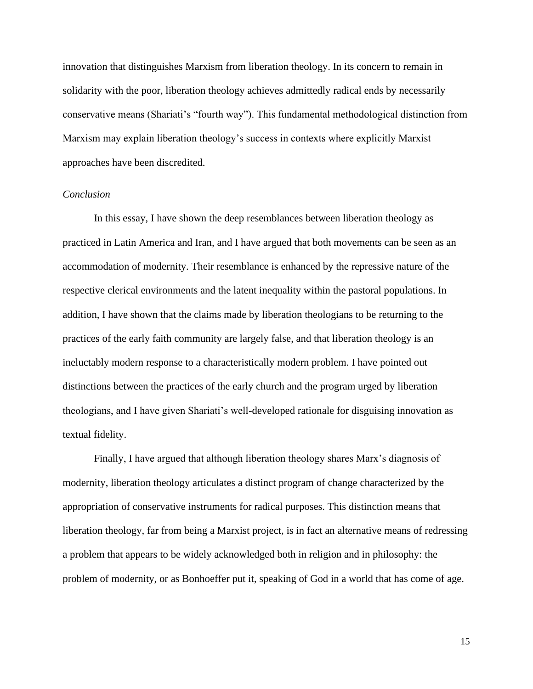innovation that distinguishes Marxism from liberation theology. In its concern to remain in solidarity with the poor, liberation theology achieves admittedly radical ends by necessarily conservative means (Shariati's "fourth way"). This fundamental methodological distinction from Marxism may explain liberation theology's success in contexts where explicitly Marxist approaches have been discredited.

### *Conclusion*

In this essay, I have shown the deep resemblances between liberation theology as practiced in Latin America and Iran, and I have argued that both movements can be seen as an accommodation of modernity. Their resemblance is enhanced by the repressive nature of the respective clerical environments and the latent inequality within the pastoral populations. In addition, I have shown that the claims made by liberation theologians to be returning to the practices of the early faith community are largely false, and that liberation theology is an ineluctably modern response to a characteristically modern problem. I have pointed out distinctions between the practices of the early church and the program urged by liberation theologians, and I have given Shariati's well-developed rationale for disguising innovation as textual fidelity.

Finally, I have argued that although liberation theology shares Marx's diagnosis of modernity, liberation theology articulates a distinct program of change characterized by the appropriation of conservative instruments for radical purposes. This distinction means that liberation theology, far from being a Marxist project, is in fact an alternative means of redressing a problem that appears to be widely acknowledged both in religion and in philosophy: the problem of modernity, or as Bonhoeffer put it, speaking of God in a world that has come of age.

15